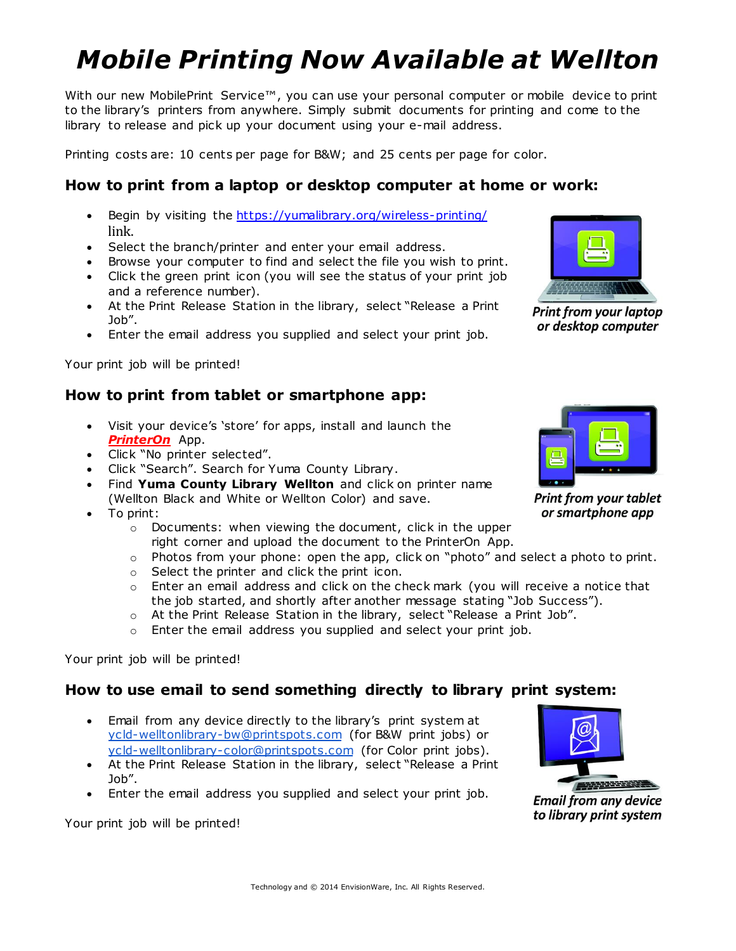# *Mobile Printing Now Available at Wellton*

With our new MobilePrint Service™, you can use your personal computer or mobile device to print to the library's printers from anywhere. Simply submit documents for printing and come to the library to release and pick up your document using your e-mail address.

Printing costs are: 10 cents per page for B&W; and 25 cents per page for color.

### **How to print from a laptop or desktop computer at home or work:**

- Begin by visiting the <https://yumalibrary.org/wireless-printing/> link.
- Select the branch/printer and enter your email address.
- Browse your computer to find and select the file you wish to print.
- Click the green print icon (you will see the status of your print job and a reference number).
- At the Print Release Station in the library, select "Release a Print Job".
- Enter the email address you supplied and select your print job.

Your print job will be printed!

### **How to print from tablet or smartphone app:**

- Visit your device's 'store' for apps, install and launch the *PrinterOn* App.
- Click "No printer selected".
- Click "Search". Search for Yuma County Library.
- Find **Yuma County Library Wellton** and click on printer name (Wellton Black and White or Wellton Color) and save.
- To print:
	- o Documents: when viewing the document, click in the upper right corner and upload the document to the PrinterOn App.
	- $\circ$  Photos from your phone: open the app, click on "photo" and select a photo to print.
	- o Select the printer and click the print icon.
	- o Enter an email address and click on the check mark (you will receive a notice that the job started, and shortly after another message stating "Job Success").
	- o At the Print Release Station in the library, select "Release a Print Job".
	- $\circ$  Enter the email address you supplied and select your print job.

Your print job will be printed!

#### **How to use email to send something directly to library print system:**

- Email from any device directly to the library's print system at [ycld-welltonlibrary-bw@printspots.com](mailto:ycld-welltonlibrary-bw@printspots.com) (for B&W print jobs) or [ycld-welltonlibrary-color@printspots.com](mailto:ycld-welltonlibrary-color@printspots.com) (for Color print jobs).
- At the Print Release Station in the library, select "Release a Print Job".
- Enter the email address you supplied and select your print job.

Your print job will be printed!





**Print from your tablet** or smartphone app



**Email from any device** to library print system